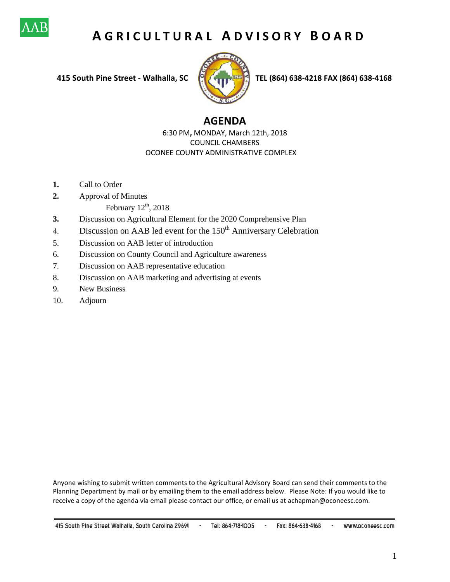

# **A G R I C U L T U R A L A D V I S O R Y B O A R D**



 **415 South Pine Street - Walhalla, SC TEL (864) 638-4218 FAX (864) 638-4168**

# **AGENDA**

6:30 PM**,** MONDAY, March 12th, 2018 COUNCIL CHAMBERS OCONEE COUNTY ADMINISTRATIVE COMPLEX

- **1.** Call to Order
- **2.** Approval of Minutes
	- February  $12<sup>th</sup>$ , 2018
- **3.** Discussion on Agricultural Element for the 2020 Comprehensive Plan
- 4. Discussion on AAB led event for the  $150<sup>th</sup>$  Anniversary Celebration
- 5. Discussion on AAB letter of introduction
- 6. Discussion on County Council and Agriculture awareness
- 7. Discussion on AAB representative education
- 8. Discussion on AAB marketing and advertising at events
- 9. New Business
- 10. Adjourn

Anyone wishing to submit written comments to the Agricultural Advisory Board can send their comments to the Planning Department by mail or by emailing them to the email address below. Please Note: If you would like to receive a copy of the agenda via email please contact our office, or email us at achapman@oconeesc.com.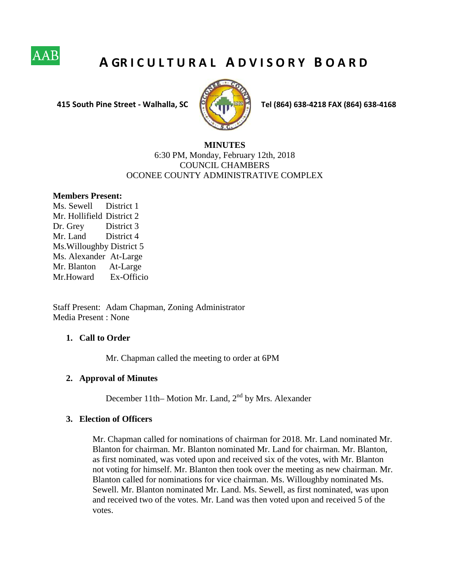

# **A GR I C U L T U R A L A D V I S O R Y B O A R D**



 **415 South Pine Street - Walhalla, SC Tel (864) 638-4218 FAX (864) 638-4168**

# **MINUTES** 6:30 PM, Monday, February 12th, 2018 COUNCIL CHAMBERS OCONEE COUNTY ADMINISTRATIVE COMPLEX

#### **Members Present:**

Ms. Sewell District 1 Mr. Hollifield District 2 Dr. Grey District 3 Mr. Land District 4 Ms.Willoughby District 5 Ms. Alexander At-Large Mr. Blanton At-Large Mr.Howard Ex-Officio

Staff Present: Adam Chapman, Zoning Administrator Media Present : None

## **1. Call to Order**

Mr. Chapman called the meeting to order at 6PM

#### **2. Approval of Minutes**

December 11th– Motion Mr. Land,  $2<sup>nd</sup>$  by Mrs. Alexander

#### **3. Election of Officers**

Mr. Chapman called for nominations of chairman for 2018. Mr. Land nominated Mr. Blanton for chairman. Mr. Blanton nominated Mr. Land for chairman. Mr. Blanton, as first nominated, was voted upon and received six of the votes, with Mr. Blanton not voting for himself. Mr. Blanton then took over the meeting as new chairman. Mr. Blanton called for nominations for vice chairman. Ms. Willoughby nominated Ms. Sewell. Mr. Blanton nominated Mr. Land. Ms. Sewell, as first nominated, was upon and received two of the votes. Mr. Land was then voted upon and received 5 of the votes.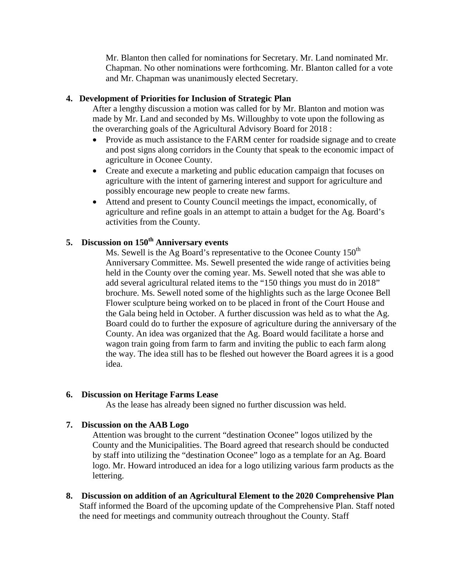Mr. Blanton then called for nominations for Secretary. Mr. Land nominated Mr. Chapman. No other nominations were forthcoming. Mr. Blanton called for a vote and Mr. Chapman was unanimously elected Secretary.

# **4. Development of Priorities for Inclusion of Strategic Plan**

After a lengthy discussion a motion was called for by Mr. Blanton and motion was made by Mr. Land and seconded by Ms. Willoughby to vote upon the following as the overarching goals of the Agricultural Advisory Board for 2018 :

- Provide as much assistance to the FARM center for roadside signage and to create and post signs along corridors in the County that speak to the economic impact of agriculture in Oconee County.
- Create and execute a marketing and public education campaign that focuses on agriculture with the intent of garnering interest and support for agriculture and possibly encourage new people to create new farms.
- Attend and present to County Council meetings the impact, economically, of agriculture and refine goals in an attempt to attain a budget for the Ag. Board's activities from the County.

# **5. Discussion on 150th Anniversary events**

Ms. Sewell is the Ag Board's representative to the Oconee County  $150<sup>th</sup>$ Anniversary Committee. Ms. Sewell presented the wide range of activities being held in the County over the coming year. Ms. Sewell noted that she was able to add several agricultural related items to the "150 things you must do in 2018" brochure. Ms. Sewell noted some of the highlights such as the large Oconee Bell Flower sculpture being worked on to be placed in front of the Court House and the Gala being held in October. A further discussion was held as to what the Ag. Board could do to further the exposure of agriculture during the anniversary of the County. An idea was organized that the Ag. Board would facilitate a horse and wagon train going from farm to farm and inviting the public to each farm along the way. The idea still has to be fleshed out however the Board agrees it is a good idea.

### **6. Discussion on Heritage Farms Lease**

As the lease has already been signed no further discussion was held.

### **7. Discussion on the AAB Logo**

Attention was brought to the current "destination Oconee" logos utilized by the County and the Municipalities. The Board agreed that research should be conducted by staff into utilizing the "destination Oconee" logo as a template for an Ag. Board logo. Mr. Howard introduced an idea for a logo utilizing various farm products as the lettering.

**8. Discussion on addition of an Agricultural Element to the 2020 Comprehensive Plan** Staff informed the Board of the upcoming update of the Comprehensive Plan. Staff noted the need for meetings and community outreach throughout the County. Staff